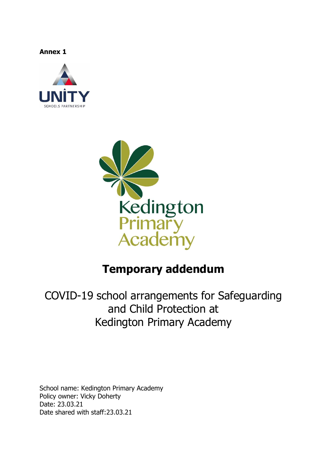**Annex 1**





# **Temporary addendum**

COVID-19 school arrangements for Safeguarding and Child Protection at Kedington Primary Academy

School name: Kedington Primary Academy Policy owner: Vicky Doherty Date: 23.03.21 Date shared with staff:23.03.21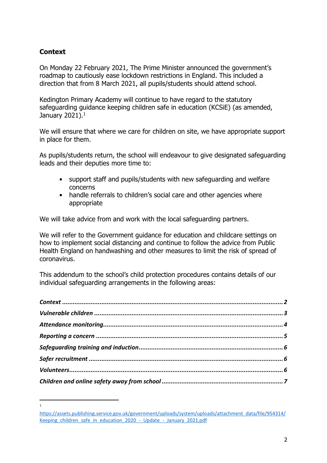# <span id="page-1-0"></span>**Context**

 $\overline{a}$ 1

On Monday 22 February 2021, The Prime Minister announced the government's roadmap to cautiously ease lockdown restrictions in England. This included a direction that from 8 March 2021, all pupils/students should attend school.

Kedington Primary Academy will continue to have regard to the statutory safeguarding guidance keeping children safe in education (KCSiE) (as amended, January 2021). $^{\rm 1}$ 

We will ensure that where we care for children on site, we have appropriate support in place for them.

As pupils/students return, the school will endeavour to give designated safeguarding leads and their deputies more time to:

- support staff and pupils/students with new safeguarding and welfare concerns
- handle referrals to children's social care and other agencies where appropriate

We will take advice from and work with the local safeguarding partners.

We will refer to the Government guidance for education and childcare settings on how to implement social distancing and continue to follow the advice from Public Health England on handwashing and other measures to limit the risk of spread of coronavirus.

This addendum to the school's child protection procedures contains details of our individual safeguarding arrangements in the following areas:

[https://assets.publishing.service.gov.uk/government/uploads/system/uploads/attachment\\_data/file/954314/](https://assets.publishing.service.gov.uk/government/uploads/system/uploads/attachment_data/file/954314/Keeping_children_safe_in_education_2020_-_Update_-_January_2021.pdf) Keeping children safe in education 2020 - Update - January 2021.pdf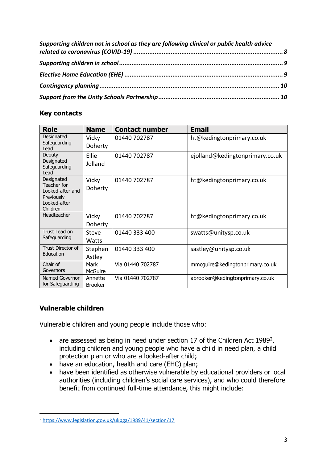| Supporting children not in school as they are following clinical or public health advice |  |
|------------------------------------------------------------------------------------------|--|
|                                                                                          |  |
|                                                                                          |  |
|                                                                                          |  |
|                                                                                          |  |
|                                                                                          |  |

# **Key contacts**

| <b>Role</b>                                                                             | <b>Name</b>               | <b>Contact number</b> | <b>Email</b>                    |
|-----------------------------------------------------------------------------------------|---------------------------|-----------------------|---------------------------------|
| Designated<br>Safeguarding<br>Lead                                                      | Vicky<br>Doherty          | 01440 702787          | ht@kedingtonprimary.co.uk       |
| Deputy<br>Designated<br>Safeguarding<br>Lead                                            | Ellie<br>Jolland          | 01440 702787          | ejolland@kedingtonprimary.co.uk |
| Designated<br>Teacher for<br>Looked-after and<br>Previously<br>Looked-after<br>Children | Vicky<br>Doherty          | 01440 702787          | ht@kedingtonprimary.co.uk       |
| Headteacher                                                                             | Vicky<br>Doherty          | 01440 702787          | ht@kedingtonprimary.co.uk       |
| Trust Lead on<br>Safeguarding                                                           | Steve<br>Watts            | 01440 333 400         | swatts@unitysp.co.uk            |
| <b>Trust Director of</b><br>Education                                                   | Stephen<br>Astley         | 01440 333 400         | sastley@unitysp.co.uk           |
| Chair of<br>Governors                                                                   | Mark<br>McGuire           | Via 01440 702787      | mmcguire@kedingtonprimary.co.uk |
| Named Governor<br>for Safeguarding                                                      | Annette<br><b>Brooker</b> | Via 01440 702787      | abrooker@kedingtonprimary.co.uk |

# <span id="page-2-0"></span>**Vulnerable children**

 $\overline{a}$ 

Vulnerable children and young people include those who:

- $\bullet$  are assessed as being in need under section 17 of the Children Act 1989<sup>2</sup>, including children and young people who have a child in need plan, a child protection plan or who are a looked-after child;
- have an education, health and care (EHC) plan;
- have been identified as otherwise vulnerable by educational providers or local authorities (including children's social care services), and who could therefore benefit from continued full-time attendance, this might include:

<sup>2</sup> <https://www.legislation.gov.uk/ukpga/1989/41/section/17>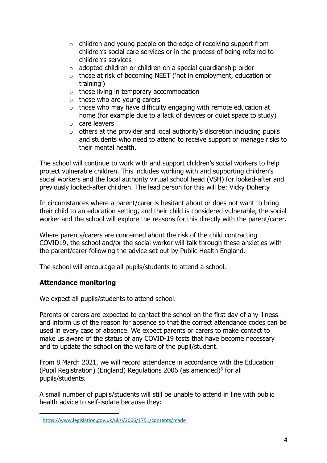- o children and young people on the edge of receiving support from children's social care services or in the process of being referred to children's services
- $\circ$  adopted children or children on a special quardianship order
- o those at risk of becoming NEET ('not in employment, education or training')
- $\circ$  those living in temporary accommodation
- $\circ$  those who are young carers
- $\circ$  those who may have difficulty engaging with remote education at home (for example due to a lack of devices or quiet space to study)
- o care leavers
- $\circ$  others at the provider and local authority's discretion including pupils and students who need to attend to receive support or manage risks to their mental health.

The school will continue to work with and support children's social workers to help protect vulnerable children. This includes working with and supporting children's social workers and the local authority virtual school head (VSH) for looked-after and previously looked-after children. The lead person for this will be: Vicky Doherty

In circumstances where a parent/carer is hesitant about or does not want to bring their child to an education setting, and their child is considered vulnerable, the social worker and the school will explore the reasons for this directly with the parent/carer.

Where parents/carers are concerned about the risk of the child contracting COVID19, the school and/or the social worker will talk through these anxieties with the parent/carer following the advice set out by Public Health England.

The school will encourage all pupils/students to attend a school.

# <span id="page-3-0"></span>**Attendance monitoring**

 $\overline{a}$ 

We expect all pupils/students to attend school.

Parents or carers are expected to contact the school on the first day of any illness and inform us of the reason for absence so that the correct attendance codes can be used in every case of absence. We expect parents or carers to make contact to make us aware of the status of any COVID-19 tests that have become necessary and to update the school on the welfare of the pupil/student.

From 8 March 2021, we will record attendance in accordance with the Education (Pupil Registration) (England) Regulations 2006 (as amended) $3$  for all pupils/students.

A small number of pupils/students will still be unable to attend in line with public health advice to self-isolate because they:

<sup>3</sup> <https://www.legislation.gov.uk/uksi/2006/1751/contents/made>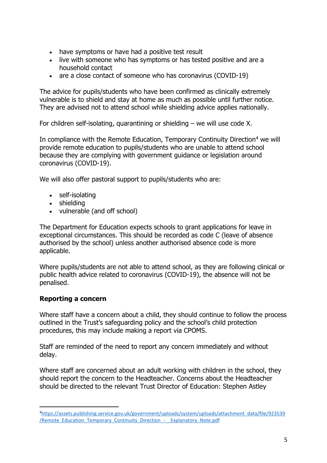- have symptoms or have had a positive test result
- live with someone who has symptoms or has tested positive and are a household contact
- are a close contact of someone who has coronavirus (COVID-19)

The advice for pupils/students who have been confirmed as clinically extremely vulnerable is to shield and stay at home as much as possible until further notice. They are advised not to attend school while shielding advice applies nationally.

For children self-isolating, quarantining or shielding – we will use code X.

In compliance with the Remote Education, Temporary Continuity Direction<sup>4</sup> we will provide remote education to pupils/students who are unable to attend school because they are complying with government guidance or legislation around coronavirus (COVID-19).

We will also offer pastoral support to pupils/students who are:

- self-isolating
- shielding
- vulnerable (and off school)

The Department for Education expects schools to grant applications for leave in exceptional circumstances. This should be recorded as code C (leave of absence authorised by the school) unless another authorised absence code is more applicable.

Where pupils/students are not able to attend school, as they are following clinical or public health advice related to coronavirus (COVID-19), the absence will not be penalised.

#### <span id="page-4-0"></span>**Reporting a concern**

 $\overline{a}$ 

Where staff have a concern about a child, they should continue to follow the process outlined in the Trust's safeguarding policy and the school's child protection procedures, this may include making a report via CPOMS.

Staff are reminded of the need to report any concern immediately and without delay.

Where staff are concerned about an adult working with children in the school, they should report the concern to the Headteacher. Concerns about the Headteacher should be directed to the relevant Trust Director of Education: Stephen Astley

<sup>4</sup>[https://assets.publishing.service.gov.uk/government/uploads/system/uploads/attachment\\_data/file/923539](https://assets.publishing.service.gov.uk/government/uploads/system/uploads/attachment_data/file/923539/Remote_Education_Temporary_Continuity_Direction_-__Explanatory_Note.pdf) /Remote Education Temporary Continuity Direction - Explanatory Note.pdf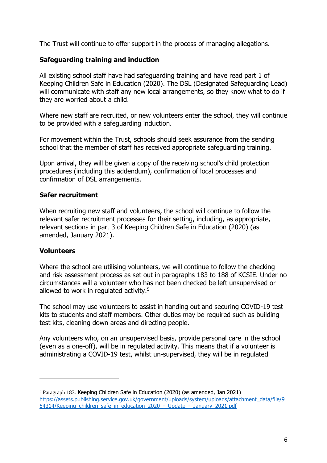The Trust will continue to offer support in the process of managing allegations.

# <span id="page-5-0"></span>**Safeguarding training and induction**

All existing school staff have had safeguarding training and have read part 1 of Keeping Children Safe in Education (2020). The DSL (Designated Safeguarding Lead) will communicate with staff any new local arrangements, so they know what to do if they are worried about a child.

Where new staff are recruited, or new volunteers enter the school, they will continue to be provided with a safeguarding induction.

For movement within the Trust, schools should seek assurance from the sending school that the member of staff has received appropriate safeguarding training.

Upon arrival, they will be given a copy of the receiving school's child protection procedures (including this addendum), confirmation of local processes and confirmation of DSL arrangements.

## <span id="page-5-1"></span>**Safer recruitment**

When recruiting new staff and volunteers, the school will continue to follow the relevant safer recruitment processes for their setting, including, as appropriate, relevant sections in part 3 of Keeping Children Safe in Education (2020) (as amended, January 2021).

#### <span id="page-5-2"></span>**Volunteers**

 $\overline{a}$ 

Where the school are utilising volunteers, we will continue to follow the checking and risk assessment process as set out in paragraphs 183 to 188 of KCSIE. Under no circumstances will a volunteer who has not been checked be left unsupervised or allowed to work in regulated activity. 5

The school may use volunteers to assist in handing out and securing COVID-19 test kits to students and staff members. Other duties may be required such as building test kits, cleaning down areas and directing people.

Any volunteers who, on an unsupervised basis, provide personal care in the school (even as a one-off), will be in regulated activity. This means that if a volunteer is administrating a COVID-19 test, whilst un-supervised, they will be in regulated

<sup>5</sup> Paragraph 183. Keeping Children Safe in Education (2020) (as amended, Jan 2021) [https://assets.publishing.service.gov.uk/government/uploads/system/uploads/attachment\\_data/file/9](https://assets.publishing.service.gov.uk/government/uploads/system/uploads/attachment_data/file/954314/Keeping_children_safe_in_education_2020_-_Update_-_January_2021.pdf) [54314/Keeping\\_children\\_safe\\_in\\_education\\_2020\\_-\\_Update\\_-\\_January\\_2021.pdf](https://assets.publishing.service.gov.uk/government/uploads/system/uploads/attachment_data/file/954314/Keeping_children_safe_in_education_2020_-_Update_-_January_2021.pdf)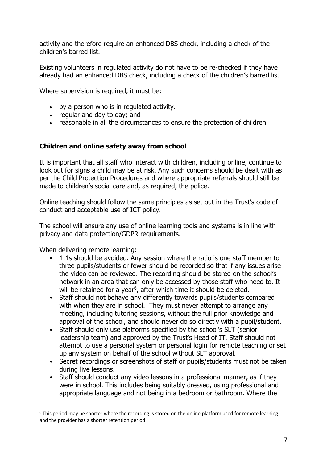activity and therefore require an enhanced DBS check, including a check of the children's barred list.

Existing volunteers in regulated activity do not have to be re-checked if they have already had an enhanced DBS check, including a check of the children's barred list.

Where supervision is required, it must be:

- by a person who is in regulated activity.
- regular and day to day; and
- reasonable in all the circumstances to ensure the protection of children.

## <span id="page-6-0"></span>**Children and online safety away from school**

It is important that all staff who interact with children, including online, continue to look out for signs a child may be at risk. Any such concerns should be dealt with as per the Child Protection Procedures and where appropriate referrals should still be made to children's social care and, as required, the police.

Online teaching should follow the same principles as set out in the Trust's code of conduct and acceptable use of ICT policy.

The school will ensure any use of online learning tools and systems is in line with privacy and data protection/GDPR requirements.

When delivering remote learning:

 $\overline{a}$ 

- 1:1s should be avoided. Any session where the ratio is one staff member to three pupils/students or fewer should be recorded so that if any issues arise the video can be reviewed. The recording should be stored on the school's network in an area that can only be accessed by those staff who need to. It will be retained for a year<sup>6</sup>, after which time it should be deleted.
- Staff should not behave any differently towards pupils/students compared with when they are in school. They must never attempt to arrange any meeting, including tutoring sessions, without the full prior knowledge and approval of the school, and should never do so directly with a pupil/student.
- Staff should only use platforms specified by the school's SLT (senior leadership team) and approved by the Trust's Head of IT. Staff should not attempt to use a personal system or personal login for remote teaching or set up any system on behalf of the school without SLT approval.
- Secret recordings or screenshots of staff or pupils/students must not be taken during live lessons.
- Staff should conduct any video lessons in a professional manner, as if they were in school. This includes being suitably dressed, using professional and appropriate language and not being in a bedroom or bathroom. Where the

 $6$  This period may be shorter where the recording is stored on the online platform used for remote learning and the provider has a shorter retention period.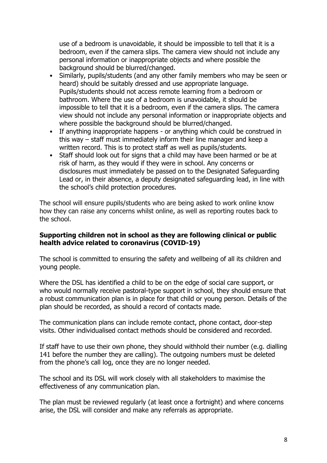use of a bedroom is unavoidable, it should be impossible to tell that it is a bedroom, even if the camera slips. The camera view should not include any personal information or inappropriate objects and where possible the background should be blurred/changed.

- Similarly, pupils/students (and any other family members who may be seen or heard) should be suitably dressed and use appropriate language. Pupils/students should not access remote learning from a bedroom or bathroom. Where the use of a bedroom is unavoidable, it should be impossible to tell that it is a bedroom, even if the camera slips. The camera view should not include any personal information or inappropriate objects and where possible the background should be blurred/changed.
- If anything inappropriate happens or anything which could be construed in this way – staff must immediately inform their line manager and keep a written record. This is to protect staff as well as pupils/students.
- Staff should look out for signs that a child may have been harmed or be at risk of harm, as they would if they were in school. Any concerns or disclosures must immediately be passed on to the Designated Safeguarding Lead or, in their absence, a deputy designated safeguarding lead, in line with the school's child protection procedures.

The school will ensure pupils/students who are being asked to work online know how they can raise any concerns whilst online, as well as reporting routes back to the school.

#### <span id="page-7-0"></span>**Supporting children not in school as they are following clinical or public health advice related to coronavirus (COVID-19)**

The school is committed to ensuring the safety and wellbeing of all its children and young people.

Where the DSL has identified a child to be on the edge of social care support, or who would normally receive pastoral-type support in school, they should ensure that a robust communication plan is in place for that child or young person. Details of the plan should be recorded, as should a record of contacts made.

The communication plans can include remote contact, phone contact, door-step visits. Other individualised contact methods should be considered and recorded.

If staff have to use their own phone, they should withhold their number (e.g. dialling 141 before the number they are calling). The outgoing numbers must be deleted from the phone's call log, once they are no longer needed.

The school and its DSL will work closely with all stakeholders to maximise the effectiveness of any communication plan.

The plan must be reviewed regularly (at least once a fortnight) and where concerns arise, the DSL will consider and make any referrals as appropriate.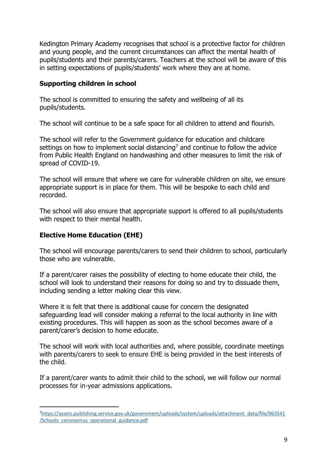Kedington Primary Academy recognises that school is a protective factor for children and young people, and the current circumstances can affect the mental health of pupils/students and their parents/carers. Teachers at the school will be aware of this in setting expectations of pupils/students' work where they are at home.

## <span id="page-8-0"></span>**Supporting children in school**

The school is committed to ensuring the safety and wellbeing of all its pupils/students.

The school will continue to be a safe space for all children to attend and flourish.

The school will refer to the Government guidance for education and childcare settings on how to implement social distancing<sup>7</sup> and continue to follow the advice from Public Health England on handwashing and other measures to limit the risk of spread of COVID-19.

The school will ensure that where we care for vulnerable children on site, we ensure appropriate support is in place for them. This will be bespoke to each child and recorded.

The school will also ensure that appropriate support is offered to all pupils/students with respect to their mental health.

# <span id="page-8-1"></span>**Elective Home Education (EHE)**

 $\overline{a}$ 

The school will encourage parents/carers to send their children to school, particularly those who are vulnerable.

If a parent/carer raises the possibility of electing to home educate their child, the school will look to understand their reasons for doing so and try to dissuade them, including sending a letter making clear this view.

Where it is felt that there is additional cause for concern the designated safeguarding lead will consider making a referral to the local authority in line with existing procedures. This will happen as soon as the school becomes aware of a parent/carer's decision to home educate.

The school will work with local authorities and, where possible, coordinate meetings with parents/carers to seek to ensure EHE is being provided in the best interests of the child.

If a parent/carer wants to admit their child to the school, we will follow our normal processes for in-year admissions applications.

<sup>7</sup>[https://assets.publishing.service.gov.uk/government/uploads/system/uploads/attachment\\_data/file/963541](https://assets.publishing.service.gov.uk/government/uploads/system/uploads/attachment_data/file/963541/Schools_coronavirus_operational_guidance.pdf) [/Schools\\_coronavirus\\_operational\\_guidance.pdf](https://assets.publishing.service.gov.uk/government/uploads/system/uploads/attachment_data/file/963541/Schools_coronavirus_operational_guidance.pdf)